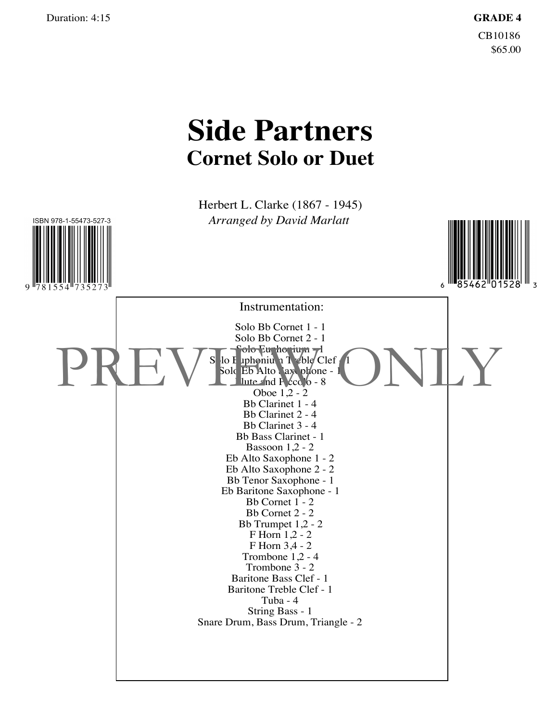## **Side Partners Cornet Solo or Duet**

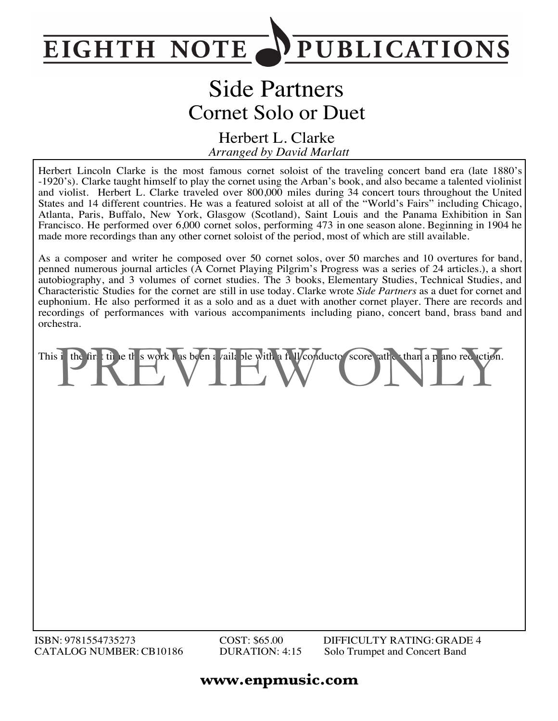

## Side Partners Cornet Solo or Duet

## *Arranged by David Marlatt* Herbert L. Clarke

Herbert Lincoln Clarke is the most famous cornet soloist of the traveling concert band era (late 1880's -1920's). Clarke taught himself to play the cornet using the Arban's book, and also became a talented violinist and violist. Herbert L. Clarke traveled over 800,000 miles during 34 concert tours throughout the United States and 14 different countries. He was a featured soloist at all of the "World's Fairs" including Chicago, Atlanta, Paris, Buffalo, New York, Glasgow (Scotland), Saint Louis and the Panama Exhibition in San Francisco. He performed over 6,000 cornet solos, performing 473 in one season alone. Beginning in 1904 he made more recordings than any other cornet soloist of the period, most of which are still available.

As a composer and writer he composed over 50 cornet solos, over 50 marches and 10 overtures for band, penned numerous journal articles (A Cornet Playing Pilgrim's Progress was a series of 24 articles.), a short autobiography, and 3 volumes of cornet studies. The 3 books, Elementary Studies, Technical Studies, and Characteristic Studies for the cornet are still in use today. Clarke wrote *Side Partners* as a duet for cornet and euphonium. He also performed it as a solo and as a duet with another cornet player. There are records and recordings of performances with various accompaniments including piano, concert band, brass band and orchestra.



## **www.enpmusic.com**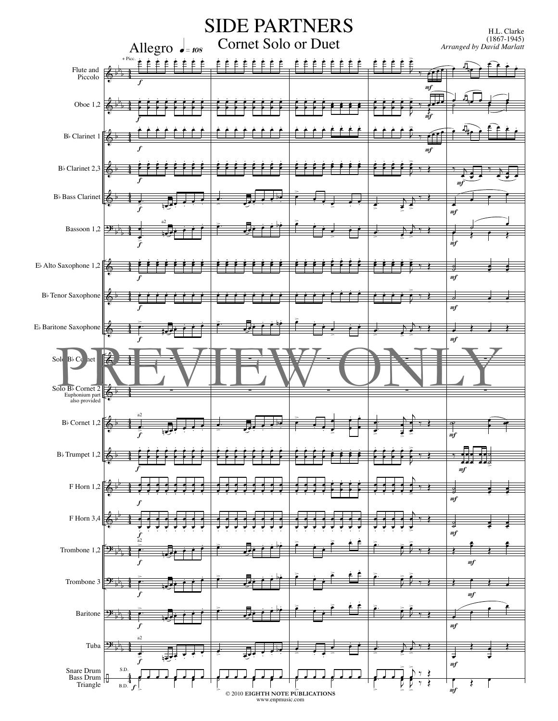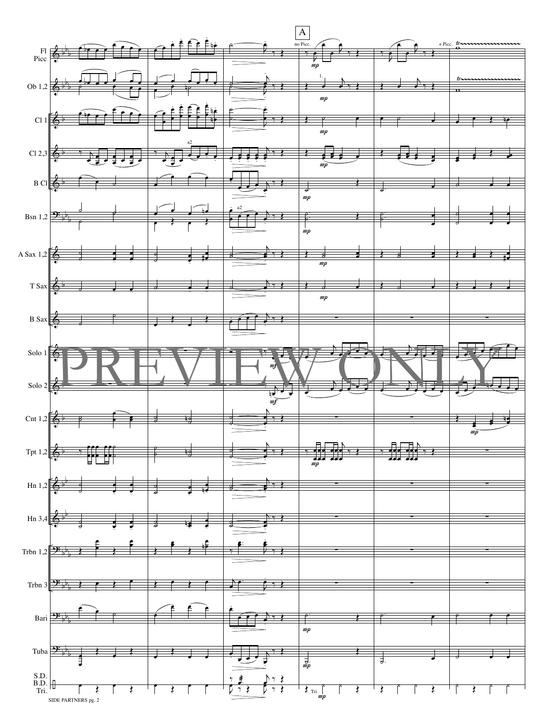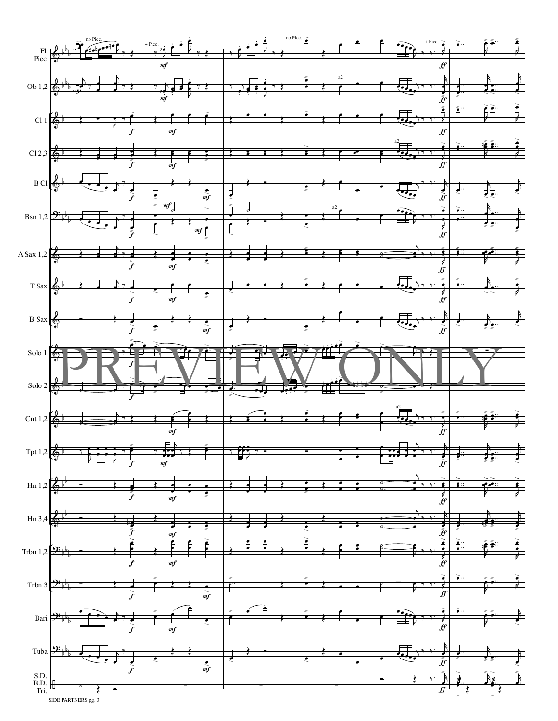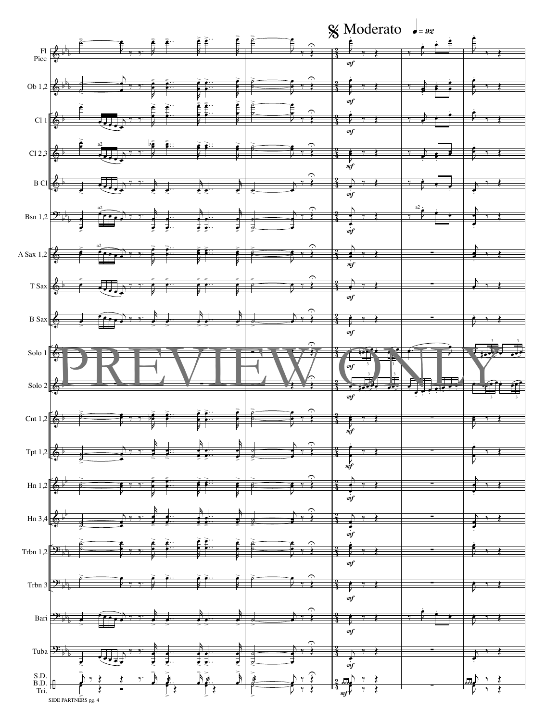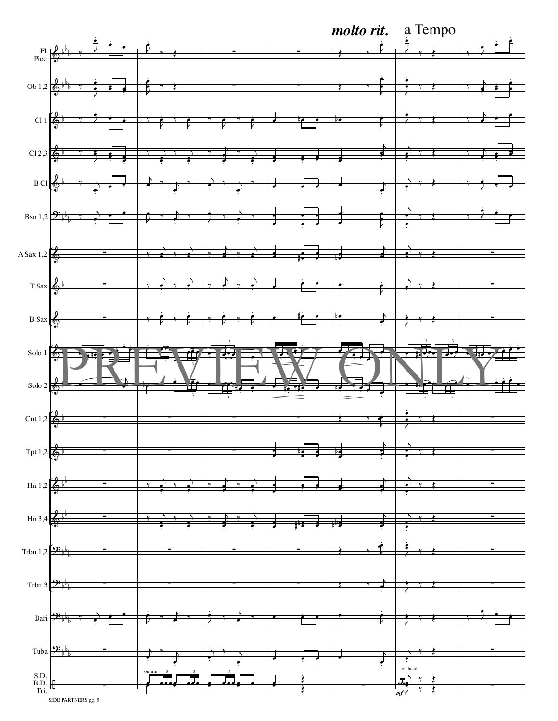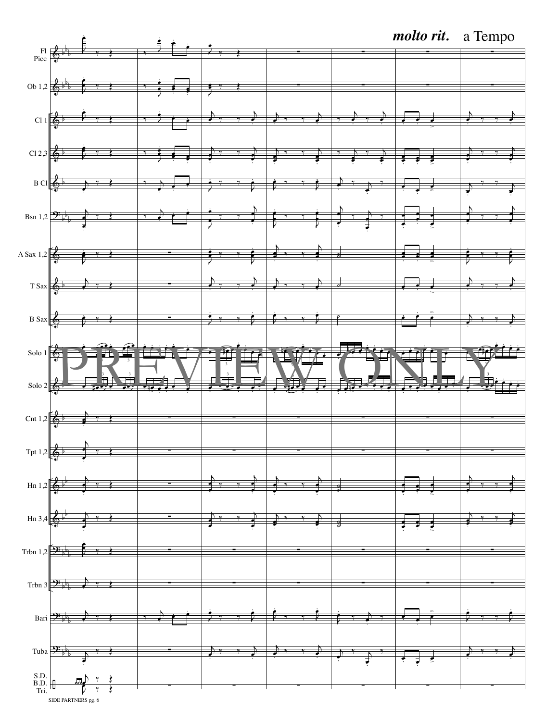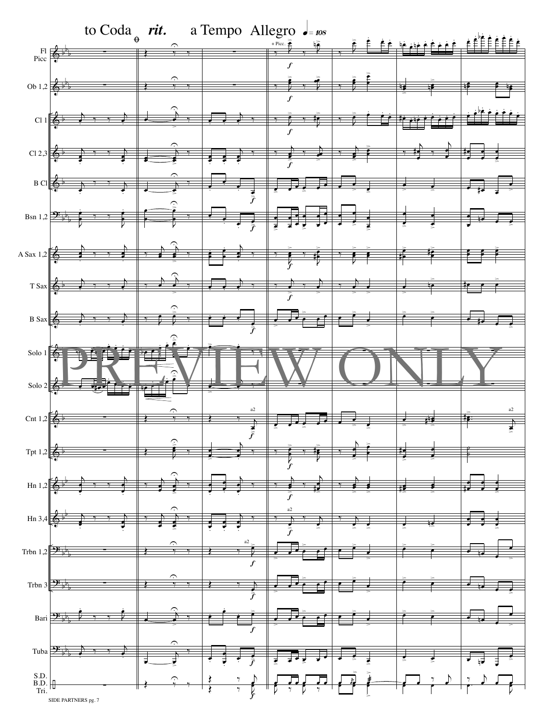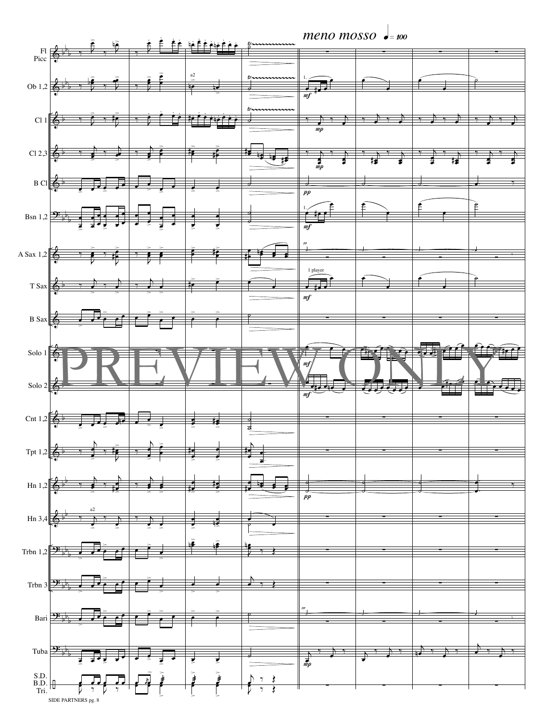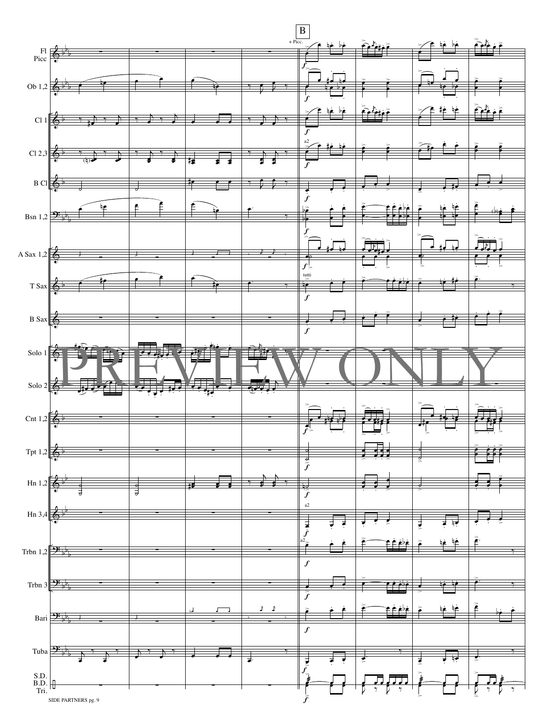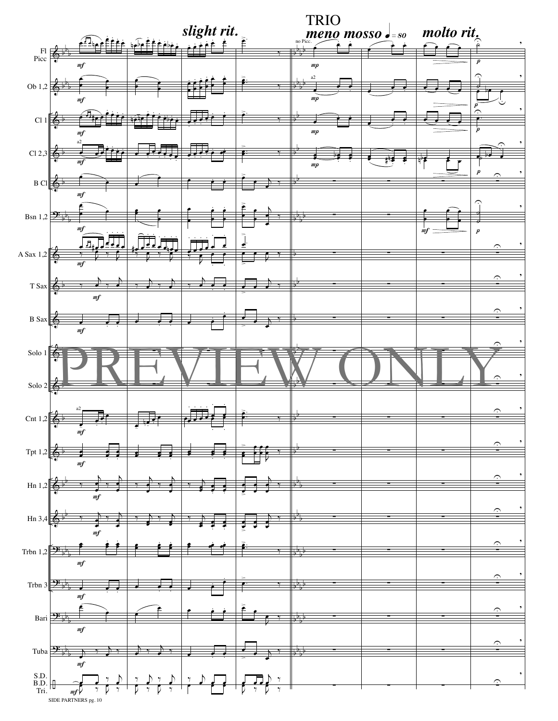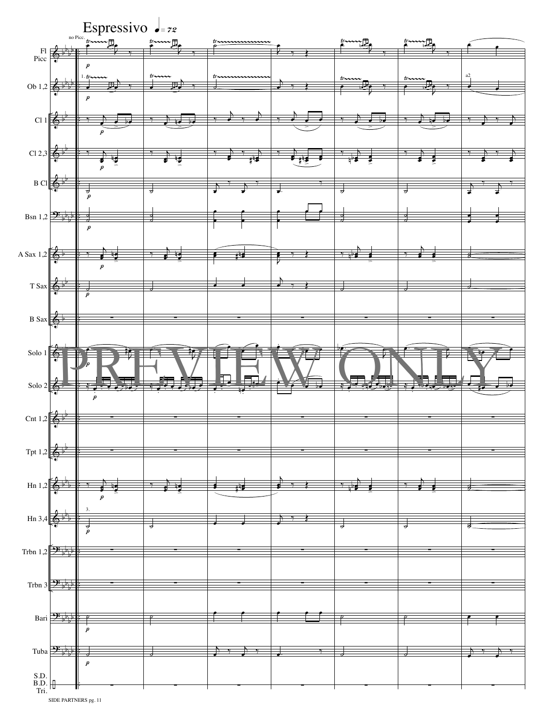

SIDE PARTNERS pg. 11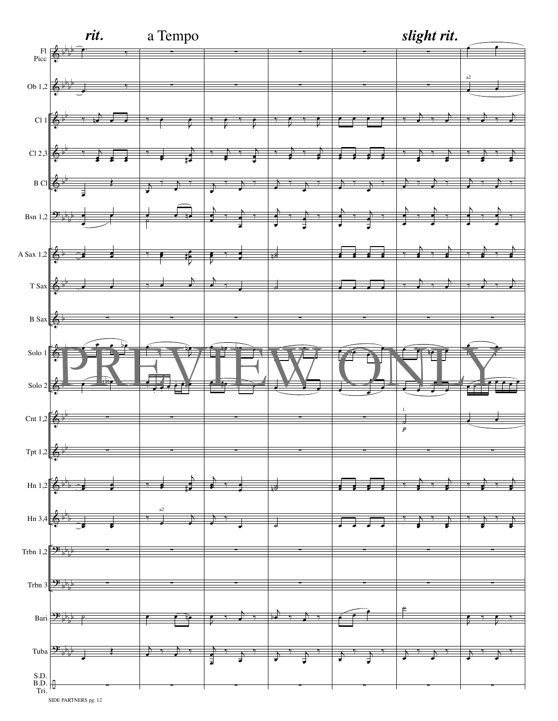

SIDE PARTNERS pg. 12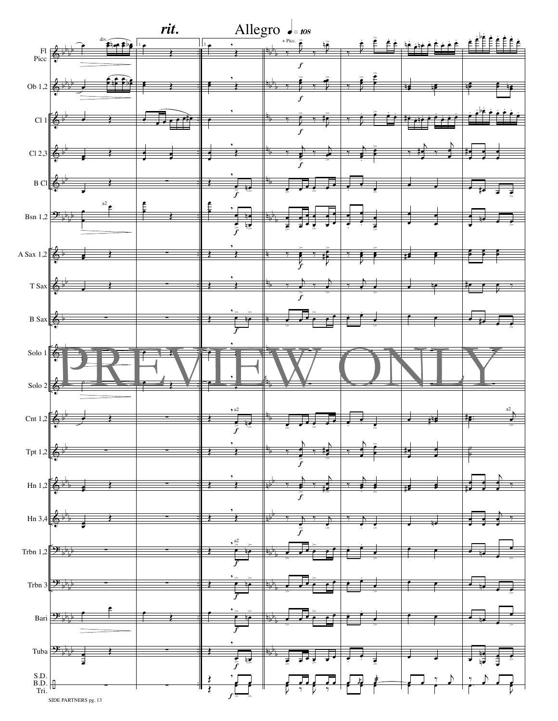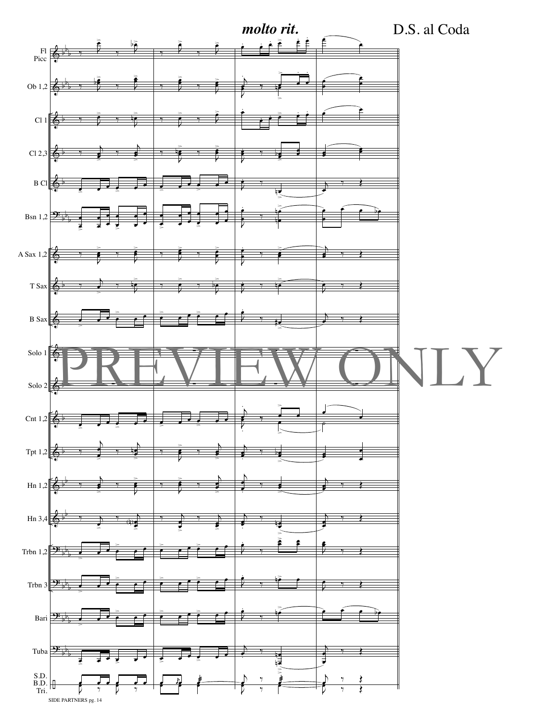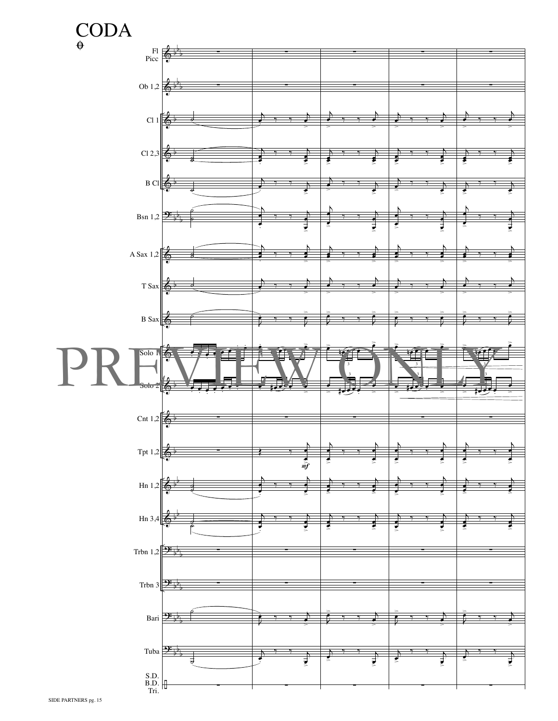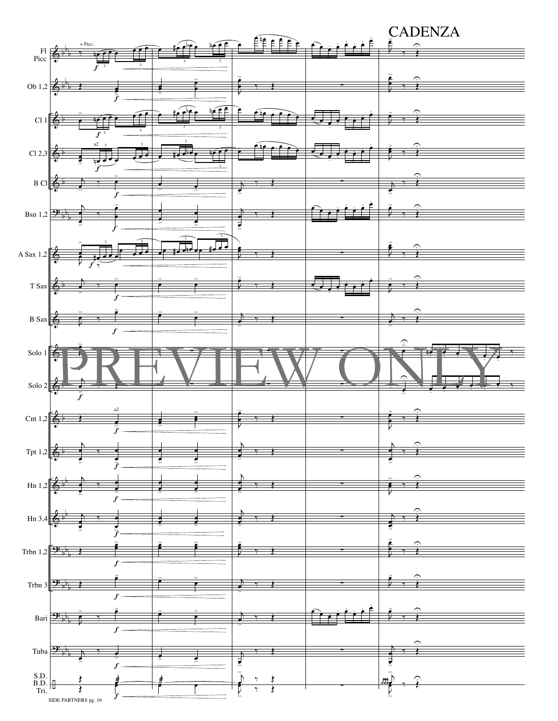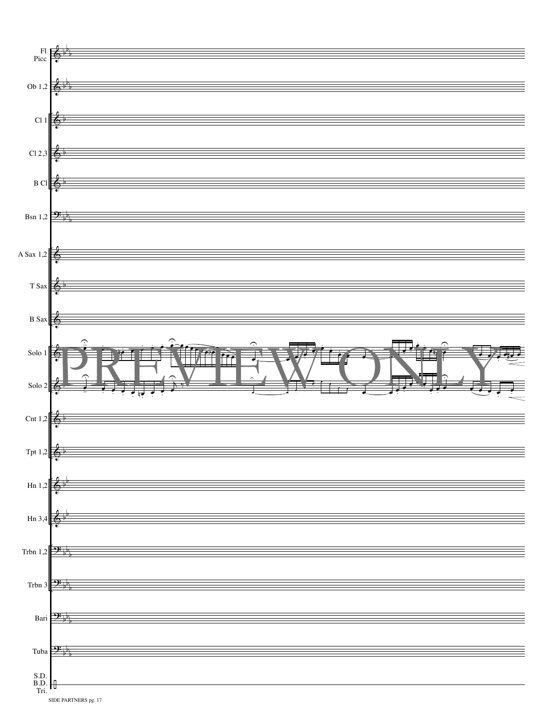